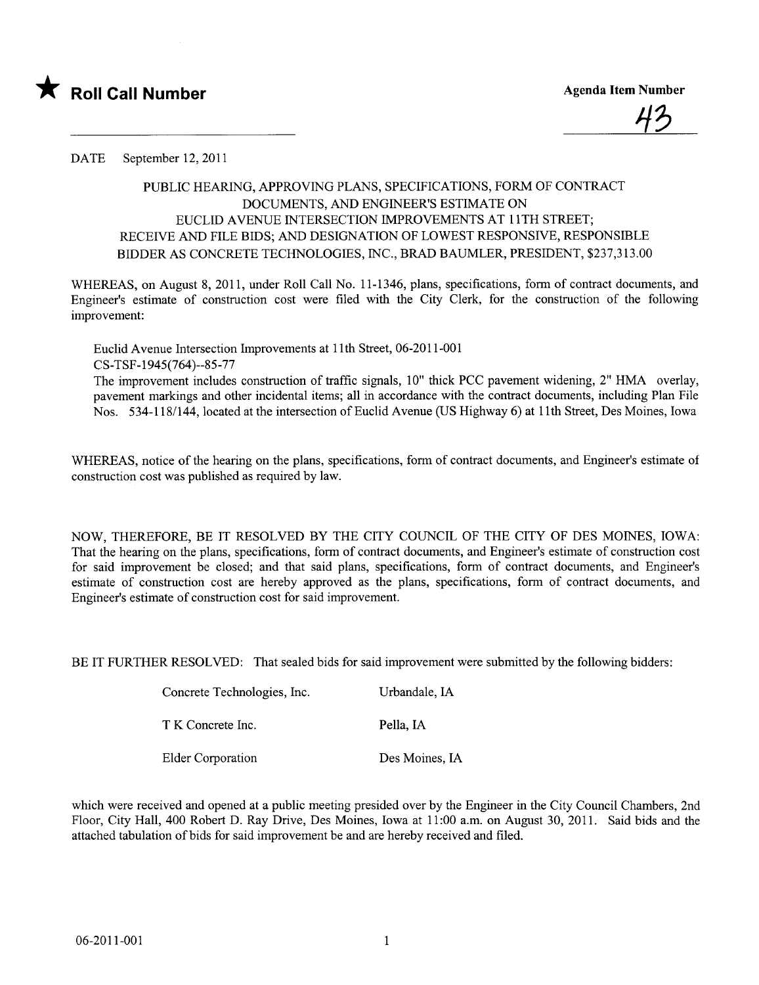



DATE September 12, 2011

## PUBLIC HEARIG, APPROVING PLANS, SPECIFICATIONS, FORM OF CONTRACT DOCUMENTS, AND ENGINEER'S ESTIMATE ON EUCLID AVENUE INTERSECTION IMPROVEMENTS AT 11TH STREET; RECEIVE AND FILE BIDS; AND DESIGNATION OF LOWEST RESPONSIVE, RESPONSIBLE BIDDER AS CONCRETE TECHNOLOGIES, INC., BRAD BAUMLER, PRESIDENT, \$237,313.00

WHEREAS, on August 8, 2011, under Roll Call No. 11-1346, plans, specifications, form of contract documents, and Engineer's estimate of construction cost were fied with the City Clerk, for the construction of the following improvement:

Euclid Avenue Intersection Improvements at 11th Street, 06-2011-001 CS-TSF-1945(764)--85-77 The improvement includes construction of traffic signals, 10" thick PCC pavement widening, 2" HMA overlay, pavement markings and other incidental items; all in accordance with the contract documents, including Plan File Nos. 534-118/144, located at the intersection of Euclid Avenue (US Highway 6) at 11th Street, Des Moines, Iowa

WHEREAS, notice of the hearing on the plans, specifications, form of contract documents, and Engineer's estimate of construction cost was published as required by law.

NOW, THEREFORE, BE IT RESOLVED BY THE CITY COUNCIL OF THE CITY OF DES MOINES, IOWA: That the hearing on the plans, specifications, form of contract documents, and Engineer's estimate of construction cost for said improvement be closed; and that said plans, specifications, form of contract documents, and Engineer's estimate of construction cost are hereby approved as the plans, specifications, form of contract documents, and Engineer's estimate of construction cost for said improvement.

BE IT FURTHER RESOLVED: That sealed bids for said improvement were submitted by the following bidders:

| Concrete Technologies, Inc. | Urbandale, IA  |
|-----------------------------|----------------|
| T K Concrete Inc.           | Pella, IA      |
| Elder Corporation           | Des Moines, IA |

which were received and opened at a public meeting presided over by the Engineer in the City Council Chambers, 2nd Floor, City Hall, 400 Robert D. Ray Drive, Des Moines, Iowa at 11:00 a.m. on August 30, 2011. Said bids and the attached tabulation of bids for said improvement be and are hereby received and filed.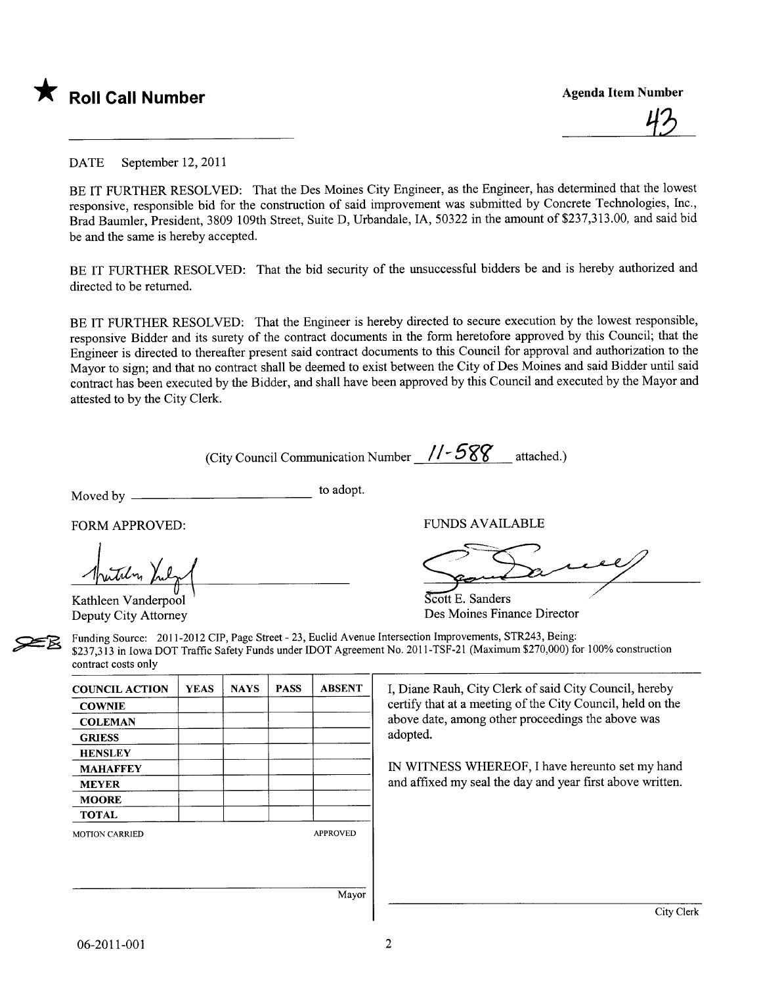

<u>43</u>

DATE September 12, 2011

BE IT FURTHER RESOLVED: That the Des Moines City Engineer, as the Engineer, has determined that the lowest responsive, responsible bid for the construction of said improvement was submitted by Concrete Technologies, Inc., Brad Baumler, President, 3809 109th Street, Suite D, Urbandale, lA, 50322 in the amount of \$237,313.00, and said bid be and the same is hereby accepted.

BE IT FURTHER RESOLVED: That the bid security of the unsuccessful bidders be and is hereby authorized and directed to be returned.

BE IT FURTHER RESOLVED: That the Engineer is hereby directed to secure execution by the lowest responsible, responsive Bidder and its surety of the contract documents in the form heretofore approved by this Council; that the Engineer is directed to thereafter present said contract documents to this Council for approval and authorization to the Mayor to sign; and that no contract shall be deemed to exist between the City of Des Moines and said Bidder until said contract has been executed by the Bidder, and shall have been approved by this Council and executed by the Mayor and attested to by the City Clerk.

(City Council Communication Number  $1/-588$  attached.)

Moved by to adopt.

FORM APPROVED: THE RESERVED OF THE RESERVED OF THE RESERVED OF THE RESERVED OF THE RESERVED OF THE RESERVED OF THE RESERVED OF THE RESERVED OF THE RESERVED OF THE RESERVED OF THE RESERVED OF THE RESERVED OF THE RESERVED OF

putilin Kulz

Kathleen Vanderpool Deputy City Attorney

SS AVAILABLE<br>Commence

 $\overline{S\text{cott}}$  E. Sanders Des Moines Finance Director

Examples Traffic Source: 2011-2012 CIP, Page Street - 23, Euclid Avenue Intersection Improvements, STR243, Being:<br>
Funding Source: 2011-2012 CIP, Page Street - 23, Euclid Avenue Intersection Improvements, STR243, Being:<br>
\$ \$237,313 in Iowa DOT Traffic Safety Funds under IDOT Agreement No. 2011-TSF-21 (Maximum \$270,000) for 100% construction contract costs only

| <b>COUNCIL ACTION</b> | <b>YEAS</b> | <b>NAYS</b> | <b>PASS</b> | <b>ABSENT</b>   | I, Diane   |
|-----------------------|-------------|-------------|-------------|-----------------|------------|
| <b>COWNIE</b>         |             |             |             |                 | certify th |
| <b>COLEMAN</b>        |             |             |             |                 | above da   |
| <b>GRIESS</b>         |             |             |             |                 | adopted.   |
| <b>HENSLEY</b>        |             |             |             |                 |            |
| <b>MAHAFFEY</b>       |             |             |             |                 | IN WIT     |
| <b>MEYER</b>          |             |             |             |                 | and affix  |
| <b>MOORE</b>          |             |             |             |                 |            |
| <b>TOTAL</b>          |             |             |             |                 |            |
| <b>MOTION CARRIED</b> |             |             |             | <b>APPROVED</b> |            |
|                       |             |             |             |                 |            |
|                       |             |             |             |                 |            |
|                       |             |             |             | Mayor           |            |

I. Diane Rauh, City Clerk of said City Council, hereby certify that at a meeting of the City Council, held on the above date, among other proceedings the above was adopted.

IN WITNESS WHEREOF, I have hereunto set my hand and affixed my seal the day and year first above written.